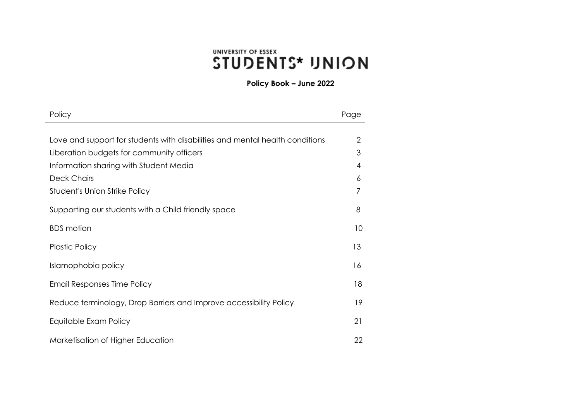# UNIVERSITY OF ESSEX *STUDENTS\* UNION*

**Policy Book – June 2022**

| Policy                                                                       | Page           |
|------------------------------------------------------------------------------|----------------|
|                                                                              |                |
| Love and support for students with disabilities and mental health conditions | $\overline{2}$ |
| Liberation budgets for community officers                                    | 3              |
| Information sharing with Student Media                                       | $\overline{4}$ |
| <b>Deck Chairs</b>                                                           | 6              |
| Student's Union Strike Policy                                                | 7              |
| Supporting our students with a Child friendly space                          | 8              |
| <b>BDS</b> motion                                                            | 10             |
| <b>Plastic Policy</b>                                                        | 13             |
| Islamophobia policy                                                          | 16             |
| Email Responses Time Policy                                                  | 18             |
| Reduce terminology, Drop Barriers and Improve accessibility Policy           | 19             |
| Equitable Exam Policy                                                        | 21             |
| Marketisation of Higher Education                                            | 22             |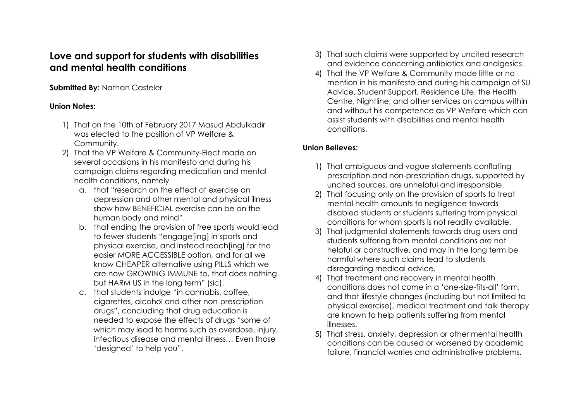# <span id="page-1-0"></span>**Love and support for students with disabilities and mental health conditions**

## **Submitted By: Nathan Casteler**

## **Union Notes:**

- 1) That on the 10th of February 2017 Masud Abdulkadir was elected to the position of VP Welfare & Community.
- 2) That the VP Welfare & Community-Elect made on several occasions in his manifesto and during his campaign claims regarding medication and mental health conditions, namely
	- a. that "research on the effect of exercise on depression and other mental and physical illness show how BENEFICIAL exercise can be on the human body and mind".
	- b. that ending the provision of free sports would lead to fewer students "engage[ing] in sports and physical exercise, and instead reach[ing] for the easier MORE ACCESSIBLE option, and for all we know CHEAPER alternative using PILLS which we are now GROWING IMMUNE to, that does nothing but HARM US in the long term" (sic).
	- c. that students indulge "in cannabis, coffee, cigarettes, alcohol and other non-prescription drugs", concluding that drug education is needed to expose the effects of drugs "some of which may lead to harms such as overdose, injury, infectious disease and mental illness… Even those 'designed' to help you".
- 3) That such claims were supported by uncited research and evidence concerning antibiotics and analgesics.
- 4) That the VP Welfare & Community made little or no mention in his manifesto and during his campaign of SU Advice, Student Support, Residence Life, the Health Centre, Nightline, and other services on campus within and without his competence as VP Welfare which can assist students with disabilities and mental health conditions.

## **Union Believes:**

- 1) That ambiguous and vague statements conflating prescription and non-prescription drugs, supported by uncited sources, are unhelpful and irresponsible.
- 2) That focusing only on the provision of sports to treat mental health amounts to negligence towards disabled students or students suffering from physical conditions for whom sports is not readily available.
- 3) That judgmental statements towards drug users and students suffering from mental conditions are not helpful or constructive, and may in the long term be harmful where such claims lead to students disregarding medical advice.
- 4) That treatment and recovery in mental health conditions does not come in a 'one-size-fits-all' form, and that lifestyle changes (including but not limited to physical exercise), medical treatment and talk therapy are known to help patients suffering from mental illnesses.
- 5) That stress, anxiety, depression or other mental health conditions can be caused or worsened by academic failure, financial worries and administrative problems.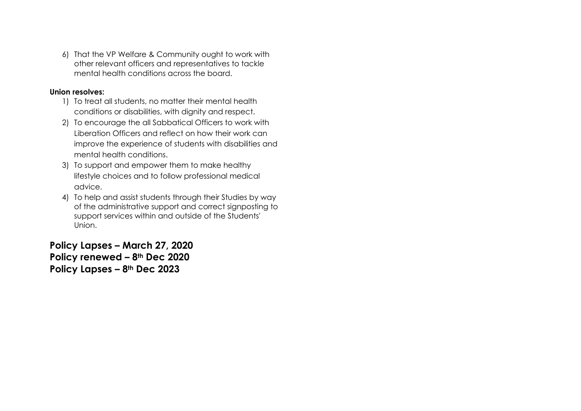6) That the VP Welfare & Community ought to work with other relevant officers and representatives to tackle mental health conditions across the board.

### **Union resolves:**

- 1) To treat all students, no matter their mental health conditions or disabilities, with dignity and respect.
- 2) To encourage the all Sabbatical Officers to work with Liberation Officers and reflect on how their work can improve the experience of students with disabilities and mental health conditions.
- 3) To support and empower them to make healthy lifestyle choices and to follow professional medical advice.
- 4) To help and assist students through their Studies by way of the administrative support and correct signposting to support services within and outside of the Students' Union.

**Policy Lapses – March 27, 2020 Policy renewed – 8th Dec 2020 Policy Lapses – 8th Dec 2023**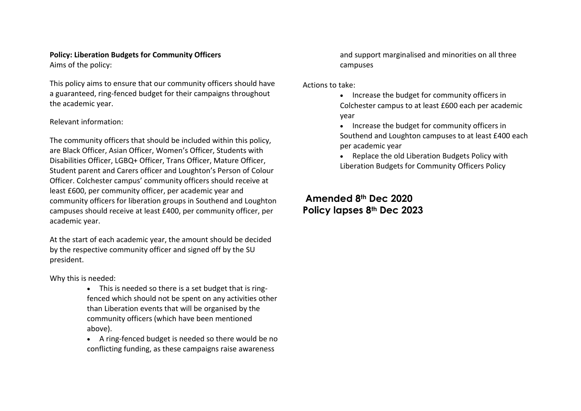## <span id="page-3-0"></span>**Policy: Liberation Budgets for Community Officers**

Aims of the policy:

This policy aims to ensure that our community officers should have a guaranteed, ring-fenced budget for their campaigns throughout the academic year.

### Relevant information:

The community officers that should be included within this policy, are Black Officer, Asian Officer, Women's Officer, Students with Disabilities Officer, LGBQ+ Officer, Trans Officer, Mature Officer, Student parent and Carers officer and Loughton's Person of Colour Officer. Colchester campus' community officers should receive at least £600, per community officer, per academic year and community officers for liberation groups in Southend and Loughton campuses should receive at least £400, per community officer, per academic year.

At the start of each academic year, the amount should be decided by the respective community officer and signed off by the SU president.

Why this is needed:

- This is needed so there is a set budget that is ringfenced which should not be spent on any activities other than Liberation events that will be organised by the community officers (which have been mentioned above).
- A ring-fenced budget is needed so there would be no conflicting funding, as these campaigns raise awareness

and support marginalised and minorities on all three campuses

Actions to take:

- Increase the budget for community officers in Colchester campus to at least £600 each per academic year
- Increase the budget for community officers in Southend and Loughton campuses to at least £400 each per academic year
- Replace the old Liberation Budgets Policy with Liberation Budgets for Community Officers Policy

**Amended 8th Dec 2020 Policy lapses 8th Dec 2023**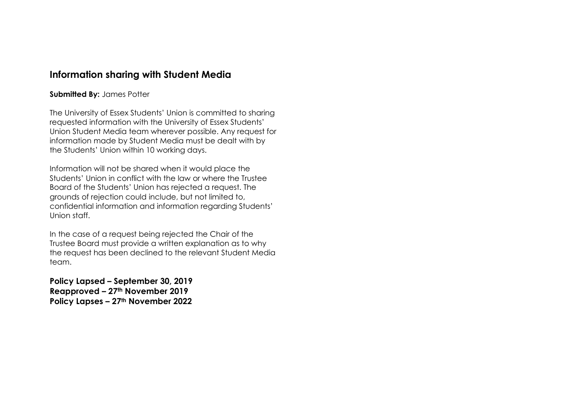## **Information sharing with Student Media**

### **Submitted By:** James Potter

The University of Essex Students' Union is committed to sharing requested information with the University of Essex Students' Union Student Media team wherever possible. Any request for information made by Student Media must be dealt with by the Students' Union within 10 working days.

Information will not be shared when it would place the Students' Union in conflict with the law or where the Trustee Board of the Students' Union has rejected a request. The grounds of rejection could include, but not limited to, confidential information and information regarding Students' Union staff.

In the case of a request being rejected the Chair of the Trustee Board must provide a written explanation as to why the request has been declined to the relevant Student Media team.

**Policy Lapsed – September 30, 2019 Reapproved – 27th November 2019 Policy Lapses – 27th November 2022**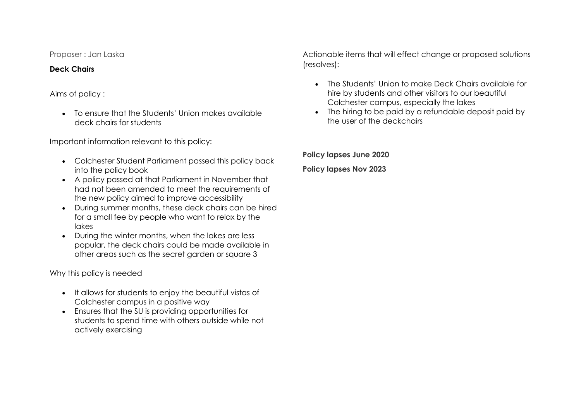Proposer : Jan Laska

### <span id="page-5-0"></span>**Deck Chairs**

## Aims of policy :

• To ensure that the Students' Union makes available deck chairs for students

Important information relevant to this policy:

- Colchester Student Parliament passed this policy back into the policy book
- A policy passed at that Parliament in November that had not been amended to meet the requirements of the new policy aimed to improve accessibility
- During summer months, these deck chairs can be hired for a small fee by people who want to relax by the lakes
- During the winter months, when the lakes are less popular, the deck chairs could be made available in other areas such as the secret garden or square 3

Why this policy is needed

- It allows for students to enjoy the beautiful vistas of Colchester campus in a positive way
- Ensures that the SU is providing opportunities for students to spend time with others outside while not actively exercising

Actionable items that will effect change or proposed solutions (resolves):

- The Students' Union to make Deck Chairs available for hire by students and other visitors to our beautiful Colchester campus, especially the lakes
- The hiring to be paid by a refundable deposit paid by the user of the deckchairs

**Policy lapses June 2020 Policy lapses Nov 2023**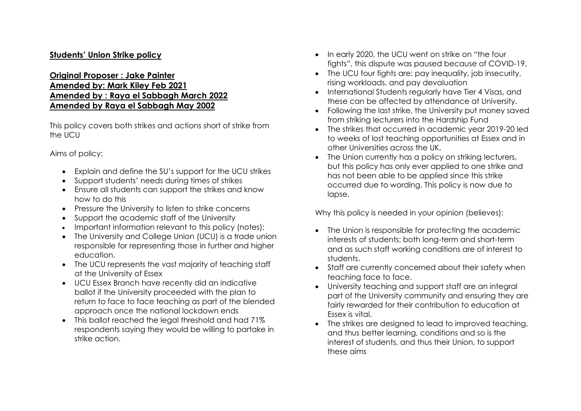## **Students' Union Strike policy**

## **Original Proposer : Jake Painter Amended by: Mark Kiley Feb 2021 Amended by : Raya el Sabbagh March 2022 Amended by Raya el Sabbagh May 2002**

This policy covers both strikes and actions short of strike from the UCU

Aims of policy:

- Explain and define the SU's support for the UCU strikes
- Support students' needs during times of strikes
- Ensure all students can support the strikes and know how to do this
- Pressure the University to listen to strike concerns
- Support the academic staff of the University
- Important information relevant to this policy (notes):
- The University and College Union (UCU) is a trade union responsible for representing those in further and higher education.
- The UCU represents the vast majority of teaching staff at the University of Essex
- UCU Essex Branch have recently did an indicative ballot if the University proceeded with the plan to return to face to face teaching as part of the blended approach once the national lockdown ends
- This ballot reached the legal threshold and had 71% respondents saying they would be willing to partake in strike action.
- In early 2020, the UCU went on strike on "the four fights", this dispute was paused because of COVID-19.
- The UCU four fights are: pay inequality, job insecurity, rising workloads, and pay devaluation
- International Students regularly have Tier 4 Visas, and these can be affected by attendance at University.
- Following the last strike, the University put money saved from striking lecturers into the Hardship Fund
- The strikes that occurred in academic year 2019-20 led to weeks of lost teaching opportunities at Essex and in other Universities across the UK.
- The Union currently has a policy on striking lecturers, but this policy has only ever applied to one strike and has not been able to be applied since this strike occurred due to wording. This policy is now due to lapse.

Why this policy is needed in your opinion (believes):

- The Union is responsible for protecting the academic interests of students; both long-term and short-term and as such staff working conditions are of interest to students.
- Staff are currently concerned about their safety when teaching face to face.
- University teaching and support staff are an integral part of the University community and ensuring they are fairly rewarded for their contribution to education at Essex is vital.
- The strikes are designed to lead to improved teaching, and thus better learning, conditions and so is the interest of students, and thus their Union, to support these aims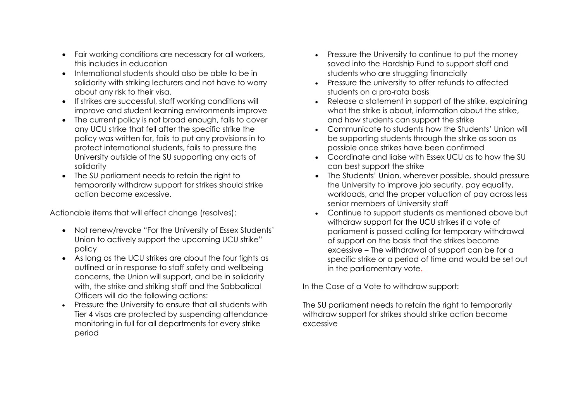- Fair working conditions are necessary for all workers, this includes in education
- International students should also be able to be in solidarity with striking lecturers and not have to worry about any risk to their visa.
- If strikes are successful, staff working conditions will improve and student learning environments improve
- The current policy is not broad enough, fails to cover any UCU strike that fell after the specific strike the policy was written for, fails to put any provisions in to protect international students, fails to pressure the University outside of the SU supporting any acts of solidarity
- The SU parliament needs to retain the right to temporarily withdraw support for strikes should strike action become excessive.

Actionable items that will effect change (resolves):

- Not renew/revoke "For the University of Essex Students' Union to actively support the upcoming UCU strike" policy
- As long as the UCU strikes are about the four fights as outlined or in response to staff safety and wellbeing concerns, the Union will support, and be in solidarity with, the strike and striking staff and the Sabbatical Officers will do the following actions:
- Pressure the University to ensure that all students with Tier 4 visas are protected by suspending attendance monitoring in full for all departments for every strike period
- Pressure the University to continue to put the money saved into the Hardship Fund to support staff and students who are struggling financially
- Pressure the university to offer refunds to affected students on a pro-rata basis
- Release a statement in support of the strike, explaining what the strike is about, information about the strike, and how students can support the strike
- Communicate to students how the Students' Union will be supporting students through the strike as soon as possible once strikes have been confirmed
- Coordinate and liaise with Essex UCU as to how the SU can best support the strike
- The Students' Union, wherever possible, should pressure the University to improve job security, pay equality, workloads, and the proper valuation of pay across less senior members of University staff
- Continue to support students as mentioned above but withdraw support for the UCU strikes if a vote of parliament is passed calling for temporary withdrawal of support on the basis that the strikes become excessive – The withdrawal of support can be for a specific strike or a period of time and would be set out in the parliamentary vote.

In the Case of a Vote to withdraw support:

The SU parliament needs to retain the right to temporarily withdraw support for strikes should strike action become excessive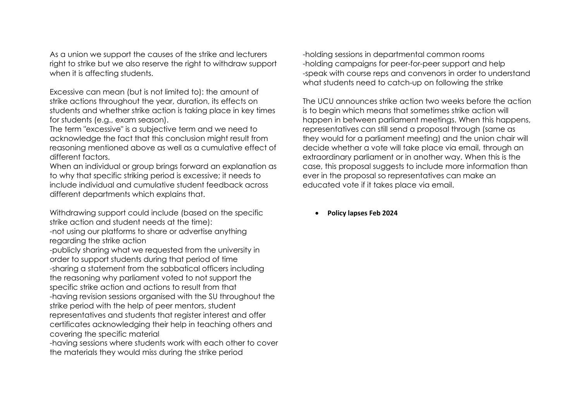As a union we support the causes of the strike and lecturers right to strike but we also reserve the right to withdraw support when it is affecting students.

Excessive can mean (but is not limited to): the amount of strike actions throughout the year, duration, its effects on students and whether strike action is taking place in key times for students (e.g., exam season).

The term "excessive" is a subjective term and we need to acknowledge the fact that this conclusion might result from reasoning mentioned above as well as a cumulative effect of different factors.

When an individual or group brings forward an explanation as to why that specific striking period is excessive; it needs to include individual and cumulative student feedback across different departments which explains that.

Withdrawing support could include (based on the specific strike action and student needs at the time):

-not using our platforms to share or advertise anything regarding the strike action

-publicly sharing what we requested from the university in order to support students during that period of time -sharing a statement from the sabbatical officers including the reasoning why parliament voted to not support the specific strike action and actions to result from that -having revision sessions organised with the SU throughout the strike period with the help of peer mentors, student representatives and students that register interest and offer certificates acknowledging their help in teaching others and covering the specific material

-having sessions where students work with each other to cover the materials they would miss during the strike period

-holding sessions in departmental common rooms -holding campaigns for peer-for-peer support and help -speak with course reps and convenors in order to understand what students need to catch-up on following the strike

The UCU announces strike action two weeks before the action is to begin which means that sometimes strike action will happen in between parliament meetings. When this happens, representatives can still send a proposal through (same as they would for a parliament meeting) and the union chair will decide whether a vote will take place via email, through an extraordinary parliament or in another way. When this is the case, this proposal suggests to include more information than ever in the proposal so representatives can make an educated vote if it takes place via email.

• **Policy lapses Feb 2024**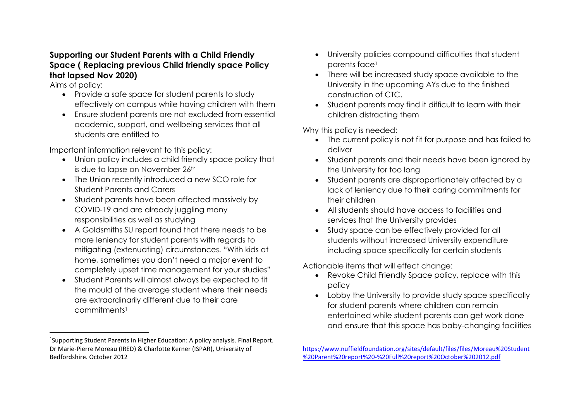## **Supporting our Student Parents with a Child Friendly Space ( Replacing previous Child friendly space Policy that lapsed Nov 2020)**

Aims of policy:

- Provide a safe space for student parents to study effectively on campus while having children with them
- Ensure student parents are not excluded from essential academic, support, and wellbeing services that all students are entitled to

Important information relevant to this policy:

- Union policy includes a child friendly space policy that is due to lapse on November 26th
- The Union recently introduced a new SCO role for Student Parents and Carers
- Student parents have been affected massively by COVID-19 and are already juggling many responsibilities as well as studying
- A Goldsmiths SU report found that there needs to be more leniency for student parents with regards to mitigating (extenuating) circumstances. "With kids at home, sometimes you don't need a major event to completely upset time management for your studies"
- Student Parents will almost always be expected to fit the mould of the average student where their needs are extraordinarily different due to their care commitments<sup>1</sup>
- University policies compound difficulties that student parents face<sup>1</sup>
- There will be increased study space available to the University in the upcoming AYs due to the finished construction of CTC.
- Student parents may find it difficult to learn with their children distracting them

Why this policy is needed:

- The current policy is not fit for purpose and has failed to deliver
- Student parents and their needs have been ignored by the University for too long
- Student parents are disproportionately affected by a lack of leniency due to their caring commitments for their children
- All students should have access to facilities and services that the University provides
- Study space can be effectively provided for all students without increased University expenditure including space specifically for certain students

Actionable items that will effect change:

- Revoke Child Friendly Space policy, replace with this policy
- Lobby the University to provide study space specifically for student parents where children can remain entertained while student parents can get work done and ensure that this space has baby-changing facilities

<sup>&</sup>lt;sup>1</sup>Supporting Student Parents in Higher Education: A policy analysis. Final Report. Dr Marie-Pierre Moreau (IRED) & Charlotte Kerner (ISPAR), University of Bedfordshire. October 2012

[https://www.nuffieldfoundation.org/sites/default/files/files/Moreau%20Student](https://www.nuffieldfoundation.org/sites/default/files/files/Moreau%20Student%20Parent%20report%20-%20Full%20report%20October%202012.pdf) [%20Parent%20report%20-%20Full%20report%20October%202012.pdf](https://www.nuffieldfoundation.org/sites/default/files/files/Moreau%20Student%20Parent%20report%20-%20Full%20report%20October%202012.pdf)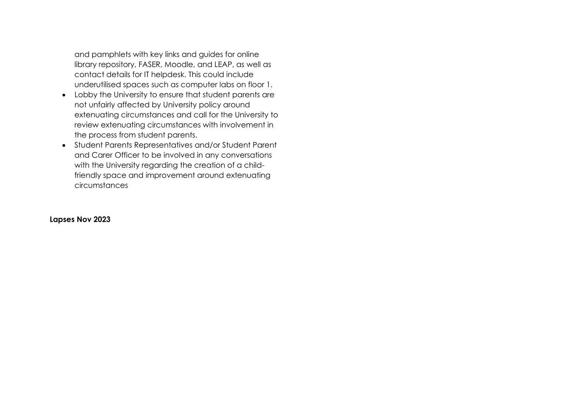and pamphlets with key links and guides for online library repository, FASER, Moodle, and LEAP, as well as contact details for IT helpdesk. This could include underutilised spaces such as computer labs on floor 1.

- Lobby the University to ensure that student parents are not unfairly affected by University policy around extenuating circumstances and call for the University to review extenuating circumstances with involvement in the process from student parents.
- Student Parents Representatives and/or Student Parent and Carer Officer to be involved in any conversations with the University regarding the creation of a childfriendly space and improvement around extenuating circumstances

#### **Lapses Nov 2023**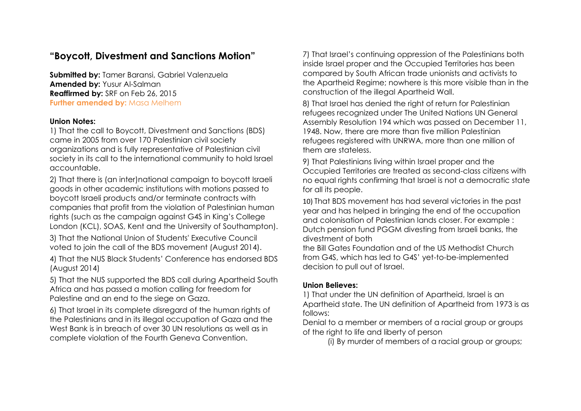# **"Boycott, Divestment and Sanctions Motion"**

**Submitted by:** Tamer Baransi, Gabriel Valenzuela **Amended by:** Yusur Al-Salman **Reaffirmed by:** SRF on Feb 26, 2015 **Further amended by: Masa Melhem** 

### **Union Notes:**

1) That the call to Boycott, Divestment and Sanctions (BDS) came in 2005 from over 170 Palestinian civil society organizations and is fully representative of Palestinian civil society in its call to the international community to hold Israel accountable.

2) That there is (an inter)national campaign to boycott Israeli goods in other academic institutions with motions passed to boycott Israeli products and/or terminate contracts with companies that profit from the violation of Palestinian human rights (such as the campaign against G4S in King's College London (KCL), SOAS, Kent and the University of Southampton).

3) That the National Union of Students' Executive Council voted to join the call of the BDS movement (August 2014).

4) That the NUS Black Students' Conference has endorsed BDS (August 2014)

5) That the NUS supported the BDS call during Apartheid South Africa and has passed a motion calling for freedom for Palestine and an end to the siege on Gaza.

6) That Israel in its complete disregard of the human rights of the Palestinians and in its illegal occupation of Gaza and the West Bank is in breach of over 30 UN resolutions as well as in complete violation of the Fourth Geneva Convention.

7) That Israel's continuing oppression of the Palestinians both inside Israel proper and the Occupied Territories has been compared by South African trade unionists and activists to the Apartheid Regime; nowhere is this more visible than in the construction of the illegal Apartheid Wall.

8) That Israel has denied the right of return for Palestinian refugees recognized under The United Nations UN General Assembly Resolution 194 which was passed on December 11, 1948. Now, there are more than five million Palestinian refugees registered with UNRWA, more than one million of them are stateless.

9) That Palestinians living within Israel proper and the Occupied Territories are treated as second-class citizens with no equal rights confirming that Israel is not a democratic state for all its people.

10) That BDS movement has had several victories in the past year and has helped in bringing the end of the occupation and colonisation of Palestinian lands closer. For example : Dutch pension fund PGGM divesting from Israeli banks, the divestment of both

the Bill Gates Foundation and of the US Methodist Church from G4S, which has led to G4S' yet-to-be-implemented decision to pull out of Israel.

### **Union Believes:**

1) That under the UN definition of Apartheid, Israel is an Apartheid state. The UN definition of Apartheid from 1973 is as follows:

Denial to a member or members of a racial group or groups of the right to life and liberty of person

(i) By murder of members of a racial group or groups;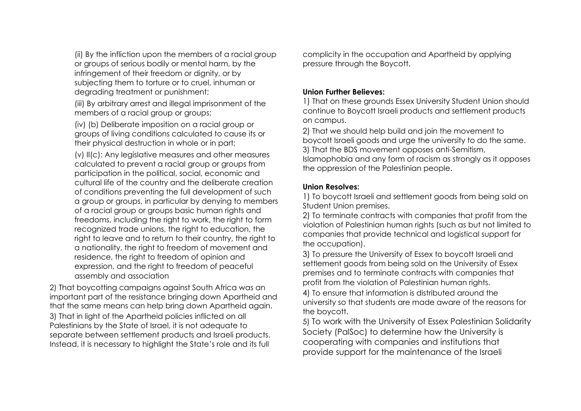(ii) By the infliction upon the members of a racial group or groups of serious bodily or mental harm, by the infringement of their freedom or dignity, or by subjecting them to torture or to cruel, inhuman or degrading treatment or punishment;

(iii) By arbitrary arrest and illegal imprisonment of the members of a racial group or groups;

(iv) (b) Deliberate imposition on a racial group or groups of living conditions calculated to cause its or their physical destruction in whole or in part;

(v) II(c): Any legislative measures and other measures calculated to prevent a racial group or groups from participation in the political, social, economic and cultural life of the country and the deliberate creation of conditions preventing the full development of such a group or groups, in particular by denying to members of a racial group or groups basic human rights and freedoms, including the right to work, the right to form recognized trade unions, the right to education, the right to leave and to return to their country, the right to a nationality, the right to freedom of movement and residence, the right to freedom of opinion and expression, and the right to freedom of peaceful assembly and association

2) That boycotting campaigns against South Africa was an important part of the resistance bringing down Apartheid and that the same means can help bring down Apartheid again. 3) That in light of the Apartheid policies inflicted on all Palestinians by the State of Israel, it is not adequate to separate between settlement products and Israeli products. Instead, it is necessary to highlight the State's role and its full

complicity in the occupation and Apartheid by applying pressure through the Boycott.

### **Union Further Believes:**

1) That on these grounds Essex University Student Union should continue to Boycott Israeli products and settlement products on campus.

2) That we should help build and join the movement to boycott Israeli goods and urge the university to do the same. 3) That the BDS movement opposes anti-Semitism, Islamophobia and any form of racism as strongly as it opposes the oppression of the Palestinian people.

### **Union Resolves:**

1) To boycott Israeli and settlement goods from being sold on Student Union premises.

2) To terminate contracts with companies that profit from the violation of Palestinian human rights (such as but not limited to companies that provide technical and logistical support for the occupation).

3) To pressure the University of Essex to boycott Israeli and settlement goods from being sold on the University of Essex premises and to terminate contracts with companies that profit from the violation of Palestinian human rights.

4) To ensure that information is distributed around the university so that students are made aware of the reasons for the boycott.

5) To work with the University of Essex Palestinian Solidarity Society (PalSoc) to determine how the University is cooperating with companies and institutions that provide support for the maintenance of the Israeli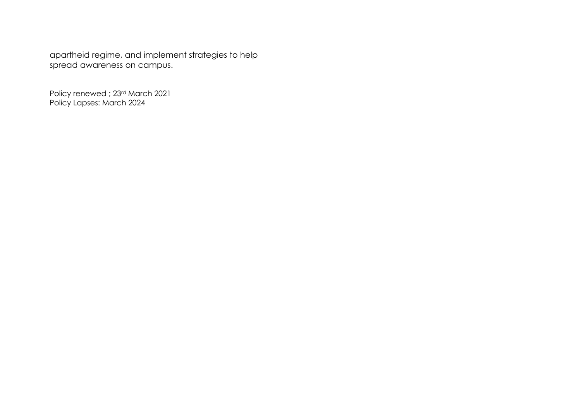apartheid regime, and implement strategies to help spread awareness on campus.

Policy renewed ; 23rd March 2021 Policy Lapses: March 2024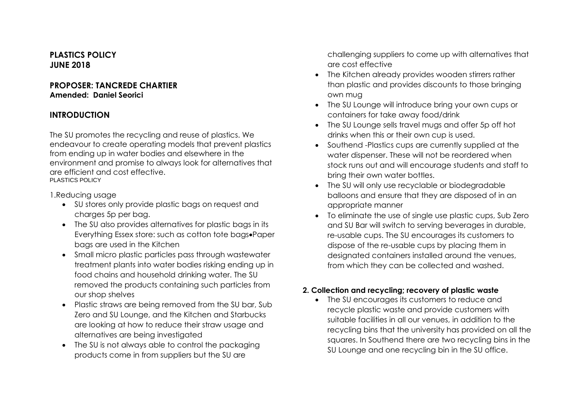## **PLASTICS POLICY JUNE 2018**

#### **PROPOSER: TANCREDE CHARTIER Amended: Daniel Seorici**

## **INTRODUCTION**

The SU promotes the recycling and reuse of plastics. We endeavour to create operating models that prevent plastics from ending up in water bodies and elsewhere in the environment and promise to always look for alternatives that are efficient and cost effective. PLASTICS POLICY

1.Reducing usage

- SU stores only provide plastic bags on request and charges 5p per bag.
- The SU also provides alternatives for plastic bags in its Everything Essex store: such as cotton tote bags•Paper bags are used in the Kitchen
- Small micro plastic particles pass through wastewater treatment plants into water bodies risking ending up in food chains and household drinking water. The SU removed the products containing such particles from our shop shelves
- Plastic straws are being removed from the SU bar, Sub Zero and SU Lounge, and the Kitchen and Starbucks are looking at how to reduce their straw usage and alternatives are being investigated
- The SU is not always able to control the packaging products come in from suppliers but the SU are

challenging suppliers to come up with alternatives that are cost effective

- The Kitchen already provides wooden stirrers rather than plastic and provides discounts to those bringing own mug
- The SU Lounge will introduce bring your own cups or containers for take away food/drink
- The SU Lounge sells travel mugs and offer 5p off hot drinks when this or their own cup is used.
- Southend -Plastics cups are currently supplied at the water dispenser. These will not be reordered when stock runs out and will encourage students and staff to bring their own water bottles.
- The SU will only use recyclable or biodegradable balloons and ensure that they are disposed of in an appropriate manner
- To eliminate the use of single use plastic cups, Sub Zero and SU Bar will switch to serving beverages in durable, re-usable cups. The SU encourages its customers to dispose of the re-usable cups by placing them in designated containers installed around the venues, from which they can be collected and washed.

## **2. Collection and recycling; recovery of plastic waste**

• The SU encourages its customers to reduce and recycle plastic waste and provide customers with suitable facilities in all our venues, in addition to the recycling bins that the university has provided on all the squares. In Southend there are two recycling bins in the SU Lounge and one recycling bin in the SU office.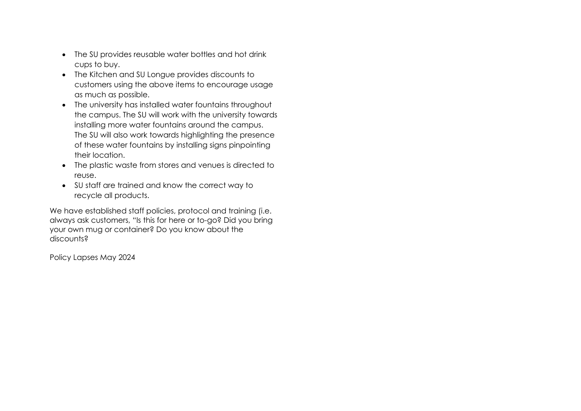- The SU provides reusable water bottles and hot drink cups to buy.
- The Kitchen and SU Longue provides discounts to customers using the above items to encourage usage as much as possible.
- The university has installed water fountains throughout the campus. The SU will work with the university towards installing more water fountains around the campus. The SU will also work towards highlighting the presence of these water fountains by installing signs pinpointing their location.
- The plastic waste from stores and venues is directed to reuse.
- SU staff are trained and know the correct way to recycle all products.

We have established staff policies, protocol and training (i.e. always ask customers, "Is this for here or to-go? Did you bring your own mug or container? Do you know about the discounts?

Policy Lapses May 2024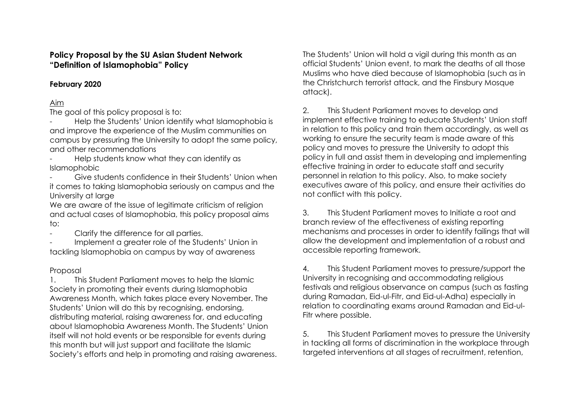## **Policy Proposal by the SU Asian Student Network "Definition of Islamophobia" Policy**

## **February 2020**

## Aim

The goal of this policy proposal is to:

Help the Students' Union identify what Islamophobia is and improve the experience of the Muslim communities on campus by pressuring the University to adopt the same policy, and other recommendations

Help students know what they can identify as Islamophobic

Give students confidence in their Students' Union when it comes to taking Islamophobia seriously on campus and the University at large

We are aware of the issue of legitimate criticism of religion and actual cases of Islamophobia, this policy proposal aims to:

Clarify the difference for all parties.

Implement a greater role of the Students' Union in tackling Islamophobia on campus by way of awareness

## Proposal

1. This Student Parliament moves to help the Islamic Society in promoting their events during Islamophobia Awareness Month, which takes place every November. The Students' Union will do this by recognising, endorsing, distributing material, raising awareness for, and educating about Islamophobia Awareness Month. The Students' Union itself will not hold events or be responsible for events during this month but will just support and facilitate the Islamic Society's efforts and help in promoting and raising awareness. The Students' Union will hold a vigil during this month as an official Students' Union event, to mark the deaths of all those Muslims who have died because of Islamophobia (such as in the Christchurch terrorist attack, and the Finsbury Mosque attack).

2. This Student Parliament moves to develop and implement effective training to educate Students' Union staff in relation to this policy and train them accordingly, as well as working to ensure the security team is made aware of this policy and moves to pressure the University to adopt this policy in full and assist them in developing and implementing effective training in order to educate staff and security personnel in relation to this policy. Also, to make society executives aware of this policy, and ensure their activities do not conflict with this policy.

3. This Student Parliament moves to Initiate a root and branch review of the effectiveness of existing reporting mechanisms and processes in order to identify failings that will allow the development and implementation of a robust and accessible reporting framework.

4. This Student Parliament moves to pressure/support the University in recognising and accommodating religious festivals and religious observance on campus (such as fasting during Ramadan, Eid-ul-Fitr, and Eid-ul-Adha) especially in relation to coordinating exams around Ramadan and Eid-ul-Fitr where possible.

5. This Student Parliament moves to pressure the University in tackling all forms of discrimination in the workplace through targeted interventions at all stages of recruitment, retention,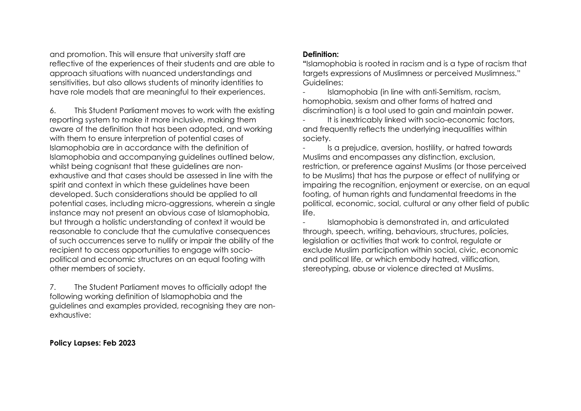and promotion. This will ensure that university staff are reflective of the experiences of their students and are able to approach situations with nuanced understandings and sensitivities, but also allows students of minority identities to have role models that are meaningful to their experiences.

6. This Student Parliament moves to work with the existing reporting system to make it more inclusive, making them aware of the definition that has been adopted, and working with them to ensure interpretion of potential cases of Islamophobia are in accordance with the definition of Islamophobia and accompanying guidelines outlined below, whilst being cognisant that these guidelines are nonexhaustive and that cases should be assessed in line with the spirit and context in which these guidelines have been developed. Such considerations should be applied to all potential cases, including micro-aggressions, wherein a single instance may not present an obvious case of Islamophobia, but through a holistic understanding of context it would be reasonable to conclude that the cumulative consequences of such occurrences serve to nullify or impair the ability of the recipient to access opportunities to engage with sociopolitical and economic structures on an equal footing with other members of society.

7. The Student Parliament moves to officially adopt the following working definition of Islamophobia and the guidelines and examples provided, recognising they are nonexhaustive:

#### **Policy Lapses: Feb 2023**

#### **Definition:**

**"**Islamophobia is rooted in racism and is a type of racism that targets expressions of Muslimness or perceived Muslimness." Guidelines:

Islamophobia (in line with anti-Semitism, racism, homophobia, sexism and other forms of hatred and discrimination) is a tool used to gain and maintain power.

It is inextricably linked with socio-economic factors, and frequently reflects the underlying inequalities within society.

- Is a prejudice, aversion, hostility, or hatred towards Muslims and encompasses any distinction, exclusion, restriction, or preference against Muslims (or those perceived to be Muslims) that has the purpose or effect of nullifying or impairing the recognition, enjoyment or exercise, on an equal footing, of human rights and fundamental freedoms in the political, economic, social, cultural or any other field of public life.

- Islamophobia is demonstrated in, and articulated through, speech, writing, behaviours, structures, policies, legislation or activities that work to control, regulate or exclude Muslim participation within social, civic, economic and political life, or which embody hatred, vilification, stereotyping, abuse or violence directed at Muslims.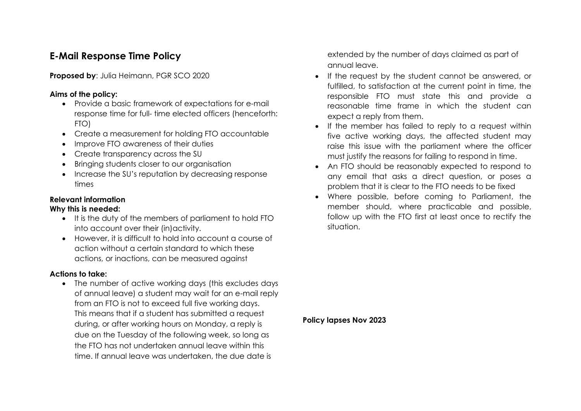# **E-Mail Response Time Policy**

**Proposed by: Julia Heimann, PGR SCO 2020** 

### **Aims of the policy:**

- Provide a basic framework of expectations for e-mail response time for full- time elected officers (henceforth: FTO)
- Create a measurement for holding FTO accountable
- Improve FTO awareness of their duties
- Create transparency across the SU
- Bringing students closer to our organisation
- Increase the SU's reputation by decreasing response times

## **Relevant information**

### **Why this is needed:**

- It is the duty of the members of parliament to hold FTO into account over their (in)activity.
- However, it is difficult to hold into account a course of action without a certain standard to which these actions, or inactions, can be measured against

### **Actions to take:**

• The number of active working days (this excludes days of annual leave) a student may wait for an e-mail reply from an FTO is not to exceed full five working days. This means that if a student has submitted a request during, or after working hours on Monday, a reply is due on the Tuesday of the following week, so long as the FTO has not undertaken annual leave within this time. If annual leave was undertaken, the due date is

extended by the number of days claimed as part of annual leave.

- If the request by the student cannot be answered, or fulfilled, to satisfaction at the current point in time, the responsible FTO must state this and provide a reasonable time frame in which the student can expect a reply from them.
- If the member has failed to reply to a request within five active working days, the affected student may raise this issue with the parliament where the officer must justify the reasons for failing to respond in time.
- An FTO should be reasonably expected to respond to any email that asks a direct question, or poses a problem that it is clear to the FTO needs to be fixed
- Where possible, before coming to Parliament, the member should, where practicable and possible, follow up with the FTO first at least once to rectify the situation.

**Policy lapses Nov 2023**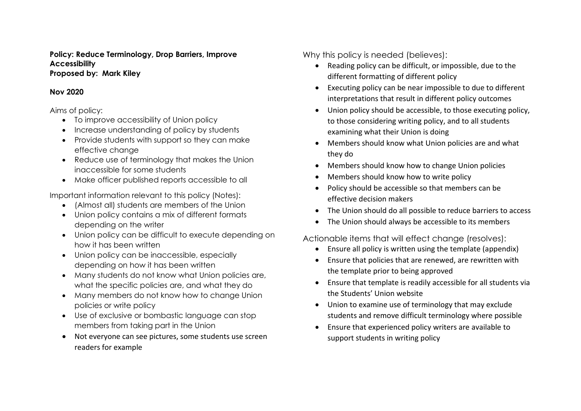#### **Policy: Reduce Terminology, Drop Barriers, Improve Accessibility Proposed by: Mark Kiley**

### **Nov 2020**

Aims of policy:

- To improve accessibility of Union policy
- Increase understanding of policy by students
- Provide students with support so they can make effective change
- Reduce use of terminology that makes the Union inaccessible for some students
- Make officer published reports accessible to all

Important information relevant to this policy (Notes):

- (Almost all) students are members of the Union
- Union policy contains a mix of different formats depending on the writer
- Union policy can be difficult to execute depending on how it has been written
- Union policy can be inaccessible, especially depending on how it has been written
- Many students do not know what Union policies are, what the specific policies are, and what they do
- Many members do not know how to change Union policies or write policy
- Use of exclusive or bombastic language can stop members from taking part in the Union
- Not everyone can see pictures, some students use screen readers for example

Why this policy is needed (believes):

- Reading policy can be difficult, or impossible, due to the different formatting of different policy
- Executing policy can be near impossible to due to different interpretations that result in different policy outcomes
- Union policy should be accessible, to those executing policy, to those considering writing policy, and to all students examining what their Union is doing
- Members should know what Union policies are and what they do
- Members should know how to change Union policies
- Members should know how to write policy
- Policy should be accessible so that members can be effective decision makers
- The Union should do all possible to reduce barriers to access
- The Union should always be accessible to its members

Actionable items that will effect change (resolves):

- Ensure all policy is written using the template (appendix)
- Ensure that policies that are renewed, are rewritten with the template prior to being approved
- Ensure that template is readily accessible for all students via the Students' Union website
- Union to examine use of terminology that may exclude students and remove difficult terminology where possible
- Ensure that experienced policy writers are available to support students in writing policy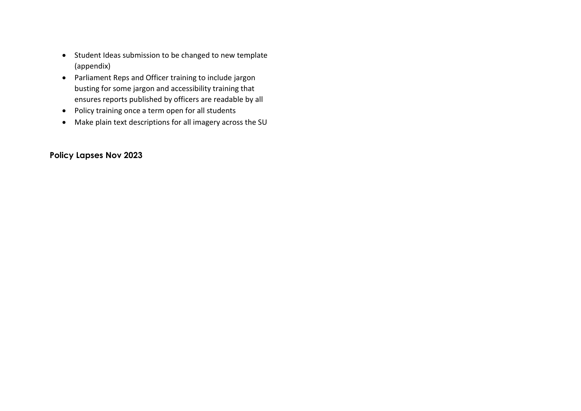- Student Ideas submission to be changed to new template (appendix)
- Parliament Reps and Officer training to include jargon busting for some jargon and accessibility training that ensures reports published by officers are readable by all
- Policy training once a term open for all students
- Make plain text descriptions for all imagery across the SU

## **Policy Lapses Nov 2023**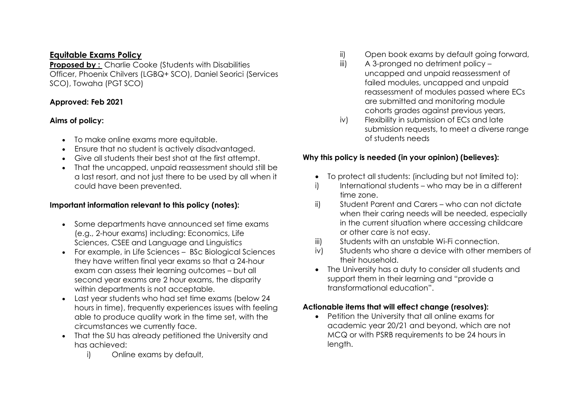## **Equitable Exams Policy**

**Proposed by: Charlie Cooke (Students with Disabilities)** Officer, Phoenix Chilvers (LGBQ+ SCO), Daniel Seorici (Services SCO), Towaha (PGT SCO)

## **Approved: Feb 2021**

## **Aims of policy:**

- To make online exams more equitable.
- Ensure that no student is actively disadvantaged.
- Give all students their best shot at the first attempt.
- That the uncapped, unpaid reassessment should still be a last resort, and not just there to be used by all when it could have been prevented.

## **Important information relevant to this policy (notes):**

- Some departments have announced set time exams (e.g., 2-hour exams) including: Economics, Life Sciences, CSEE and Language and Linguistics
- For example, in Life Sciences BSc Biological Sciences they have written final year exams so that a 24-hour exam can assess their learning outcomes – but all second year exams are 2 hour exams, the disparity within departments is not acceptable.
- Last year students who had set time exams (below 24 hours in time), frequently experiences issues with feeling able to produce quality work in the time set, with the circumstances we currently face.
- That the SU has already petitioned the University and has achieved:
	- i) Online exams by default,
- ii) Open book exams by default going forward,
- iii) A 3-pronged no detriment policy uncapped and unpaid reassessment of failed modules, uncapped and unpaid reassessment of modules passed where ECs are submitted and monitoring module cohorts grades against previous years,
- iv) Flexibility in submission of ECs and late submission requests, to meet a diverse range of students needs

## **Why this policy is needed (in your opinion) (believes):**

- To protect all students: (including but not limited to):
- i) International students who may be in a different time zone.
- ii) Student Parent and Carers who can not dictate when their caring needs will be needed, especially in the current situation where accessing childcare or other care is not easy.
- iii) Students with an unstable Wi-Fi connection.
- iv) Students who share a device with other members of their household.
- The University has a duty to consider all students and support them in their learning and "provide a transformational education".

## **Actionable items that will effect change (resolves):**

• Petition the University that all online exams for academic year 20/21 and beyond, which are not MCQ or with PSRB requirements to be 24 hours in length.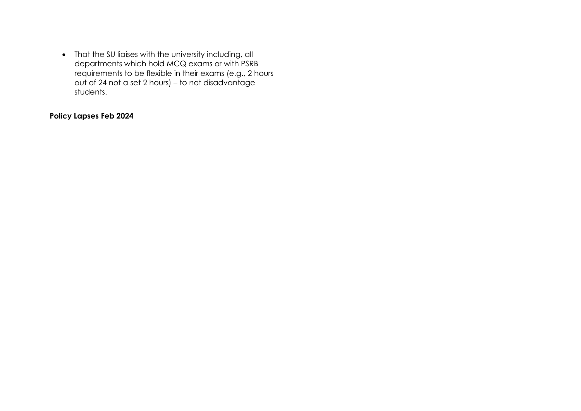• That the SU liaises with the university including, all departments which hold MCQ exams or with PSRB requirements to be flexible in their exams (e.g., 2 hours out of 24 not a set 2 hours) – to not disadvantage students.

## **Policy Lapses Feb 2024**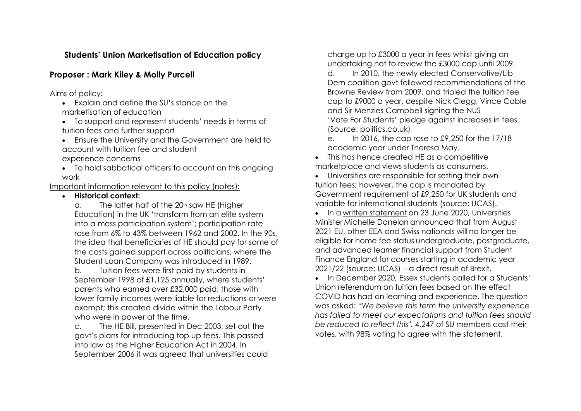## **Students' Union Marketisation of Education policy**

## **Proposer : Mark Kiley & Molly Purcell**

### Aims of policy:

• Explain and define the SU's stance on the marketisation of education

• To support and represent students' needs in terms of tuition fees and further support

• Ensure the University and the Government are held to account with tuition fee and student

experience concerns

• To hold sabbatical officers to account on this ongoing work

Important information relevant to this policy (notes):

### • **Historical context:**

 $a.$  The latter half of the 20<sup>th</sup> saw HE (Higher Education) in the UK 'transform from an elite system into a mass participation system'; participation rate rose from 6% to 43% between 1962 and 2002. In the 90s, the idea that beneficiaries of HE should pay for some of the costs gained support across politicians, where the Student Loan Company was introduced in 1989.

b. Tuition fees were first paid by students in September 1998 of £1,125 annually, where students' parents who earned over £32,000 paid; those with lower family incomes were liable for reductions or were exempt; this created divide within the Labour Party who were in power at the time.

c. The HE Bill, presented in Dec 2003, set out the govt's plans for introducing top up fees. This passed into law as the Higher Education Act in 2004. In September 2006 it was agreed that universities could charge up to £3000 a year in fees whilst giving an undertaking not to review the £3000 cap until 2009.

d. In 2010, the newly elected Conservative/Lib Dem coalition govt followed recommendations of the Browne Review from 2009, and tripled the tuition fee cap to £9000 a year, despite Nick Clegg, Vince Cable and Sir Menzies Campbell signing the NUS 'Vote For Students' pledge against increases in fees. (Source: politics.co.uk)

e. In 2016, the cap rose to £9,250 for the 17/18 academic year under Theresa May.

• This has hence created HE as a competitive marketplace and views students as consumers.

• Universities are responsible for setting their own tuition fees; however, the cap is mandated by Government requirement of £9,250 for UK students and variable for international students (source: UCAS).

• In a [written statement](https://www.parliament.uk/business/publications/written-questions-answers-statements/written-statement/Commons/2020-06-23/HCWS310/) on 23 June 2020, Universities Minister Michelle Donelan announced that from August 2021 EU, other EEA and Swiss nationals will no longer be eligible for home fee status undergraduate, postgraduate, and advanced learner financial support from Student Finance England for courses starting in academic year 2021/22 (source: UCAS) – a direct result of Brexit.

• In December 2020, Essex students called for a Students' Union referendum on tuition fees based on the effect COVID has had on learning and experience. The question was asked: *"We believe this term the university experience has failed to meet our expectations and tuition fees should be reduced to reflect this".* 4,247 of SU members cast their votes, with 98% voting to agree with the statement.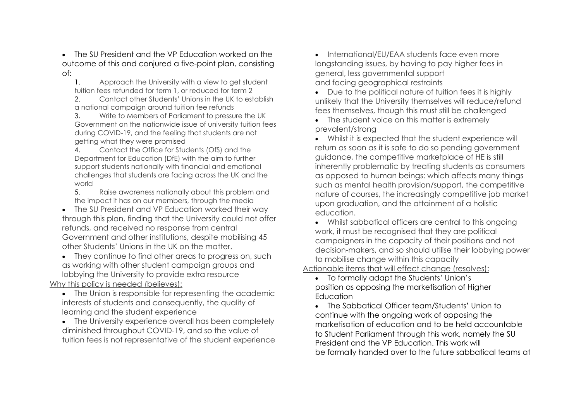• The SU President and the VP Education worked on the outcome of this and conjured a five-point plan, consisting of:

1. Approach the University with a view to get student tuition fees refunded for term 1, or reduced for term 2

2. Contact other Students' Unions in the UK to establish a national campaign around tuition fee refunds

3. Write to Members of Parliament to pressure the UK Government on the nationwide issue of university tuition fees during COVID-19, and the feeling that students are not getting what they were promised

4. Contact the Office for Students (OfS) and the Department for Education (DfE) with the aim to further support students nationally with financial and emotional challenges that students are facing across the UK and the world

5. Raise awareness nationally about this problem and the impact it has on our members, through the media

• The SU President and VP Education worked their way through this plan, finding that the University could not offer refunds, and received no response from central Government and other institutions, despite mobilising 45 other Students' Unions in the UK on the matter.

• They continue to find other areas to progress on, such as working with other student campaign groups and lobbying the University to provide extra resource

### Why this policy is needed (believes):

• The Union is responsible for representing the academic interests of students and consequently, the quality of learning and the student experience

• The University experience overall has been completely diminished throughout COVID-19, and so the value of tuition fees is not representative of the student experience • International/EU/EAA students face even more longstanding issues, by having to pay higher fees in general, less governmental support and facing geographical restraints

• Due to the political nature of tuition fees it is highly unlikely that the University themselves will reduce/refund fees themselves, though this must still be challenged

• The student voice on this matter is extremely prevalent/strong

• Whilst it is expected that the student experience will return as soon as it is safe to do so pending government guidance, the competitive marketplace of HE is still inherently problematic by treating students as consumers as opposed to human beings: which affects many things such as mental health provision/support, the competitive nature of courses, the increasingly competitive job market upon graduation, and the attainment of a holistic education.

• Whilst sabbatical officers are central to this ongoing work, it must be recognised that they are political campaigners in the capacity of their positions and not decision-makers, and so should utilise their lobbying power to mobilise change within this capacity

Actionable items that will effect change (resolves):

• To formally adapt the Students' Union's position as opposing the marketisation of Higher Education

• The Sabbatical Officer team/Students' Union to continue with the ongoing work of opposing the marketisation of education and to be held accountable to Student Parliament through this work, namely the SU President and the VP Education. This work will be formally handed over to the future sabbatical teams at